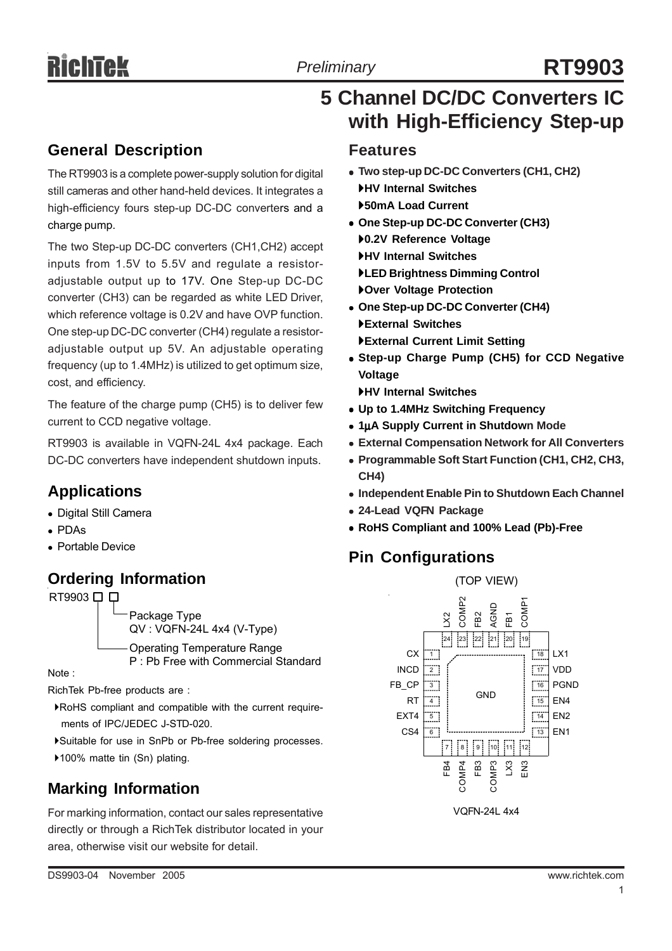# *Preliminary* **RT9903**

## **5 Channel DC/DC Converters IC with High-Efficiency Step-up**

## **General Description**

The RT9903 is a complete power-supply solution for digital still cameras and other hand-held devices. It integrates a high-efficiency fours step-up DC-DC converters and a charge pump.

The two Step-up DC-DC converters (CH1,CH2) accept inputs from 1.5V to 5.5V and regulate a resistoradjustable output up to 17V. One Step-up DC-DC converter (CH3) can be regarded as white LED Driver, which reference voltage is 0.2V and have OVP function. One step-up DC-DC converter (CH4) regulate a resistoradjustable output up 5V. An adjustable operating frequency (up to 1.4MHz) is utilized to get optimum size, cost, and efficiency.

The feature of the charge pump (CH5) is to deliver few current to CCD negative voltage.

RT9903 is available in VQFN-24L 4x4 package. Each DC-DC converters have independent shutdown inputs.

## **Applications**

- Digital Still Camera
- $\cdot$  PDAs
- **Portable Device**

## **Ordering Information**

Note : RT9903 □ □ Package Type QV : VQFN-24L 4x4 (V-Type) Operating Temperature Range P : Pb Free with Commercial Standard

RichTek Pb-free products are :

- `RoHS compliant and compatible with the current require ments of IPC/JEDEC J-STD-020.
- `Suitable for use in SnPb or Pb-free soldering processes.
- ▶100% matte tin (Sn) plating.

## **Marking Information**

For marking information, contact our sales representative directly or through a RichTek distributor located in your area, otherwise visit our website for detail.

#### **Features**

- <sup>z</sup> **Two step-up DC-DC Converters (CH1, CH2)** `**HV Internal Switches** `**50mA Load Current**
- <sup>z</sup> **One Step-up DC-DC Converter (CH3)** `**0.2V Reference Voltage** `**HV Internal Switches** `**LED Brightness Dimming Control** `**Over Voltage Protection**
- One Step-up DC-DC Converter (CH4) `**External Switches** `**External Current Limit Setting**
- Step-up Charge Pump (CH5) for CCD Negative **Voltage**

`**HV Internal Switches**

- <sup>z</sup> **Up to 1.4MHz Switching Frequency**
- <sup>z</sup> **1**μ**A Supply Current in Shutdown Mode**
- **External Compensation Network for All Converters**
- <sup>z</sup> **Programmable Soft Start Function (CH1, CH2, CH3, CH4)**
- **Independent Enable Pin to Shutdown Each Channel**
- <sup>z</sup> **24-Lead VQFN Package**
- <sup>z</sup> **RoHS Compliant and 100% Lead (Pb)-Free**

## **Pin Configurations**

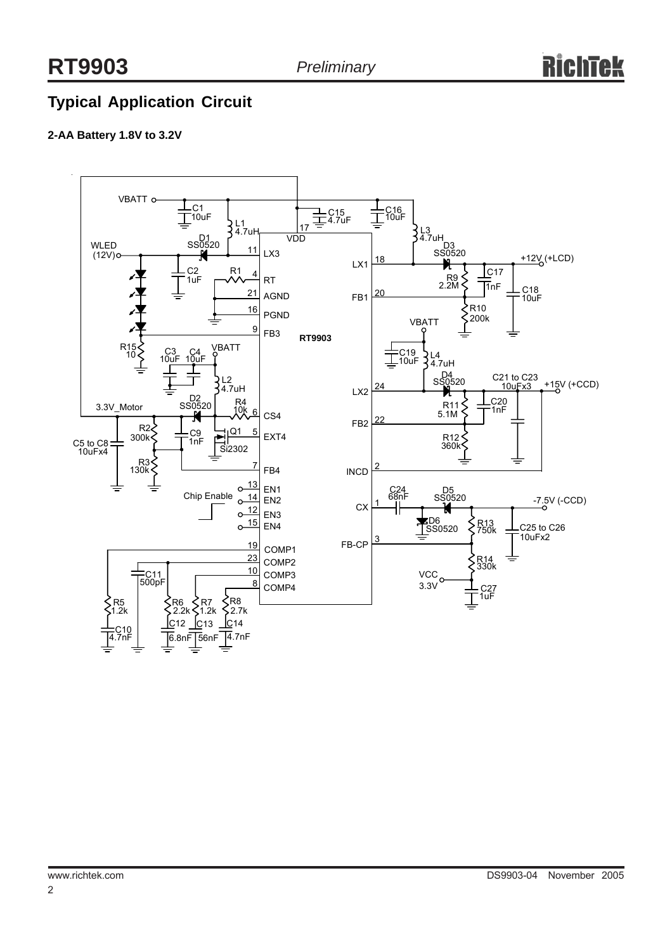## **Typical Application Circuit**

#### **2-AA Battery 1.8V to 3.2V**

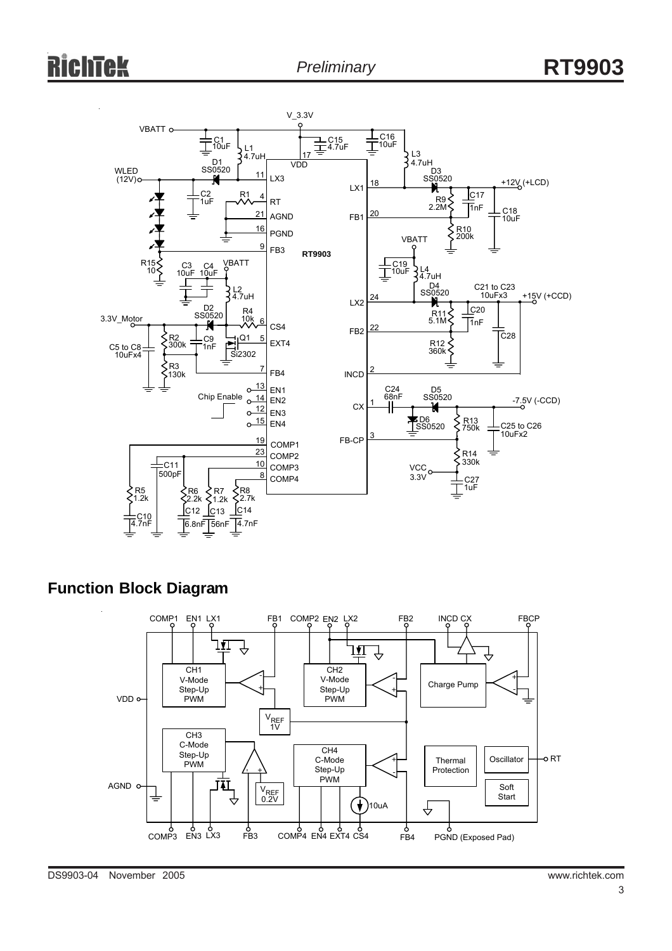

### **Function Block Diagram**

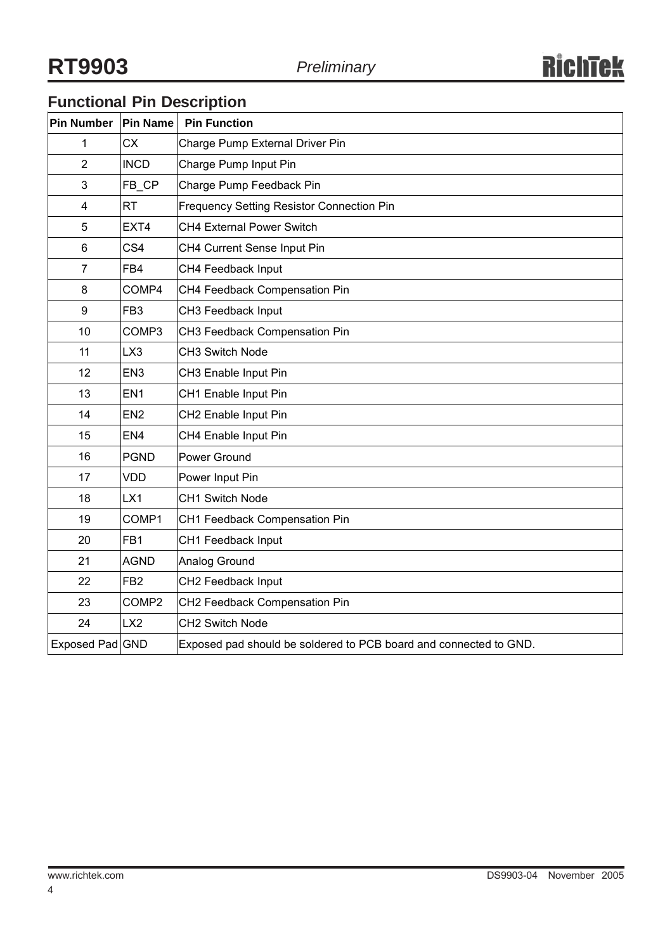## **Functional Pin Description**

| Pin Number              | Pin Name          | <b>Pin Function</b>                                               |
|-------------------------|-------------------|-------------------------------------------------------------------|
| 1                       | <b>CX</b>         | Charge Pump External Driver Pin                                   |
| $\overline{2}$          | <b>INCD</b>       | Charge Pump Input Pin                                             |
| 3                       | FB CP             | Charge Pump Feedback Pin                                          |
| $\overline{\mathbf{4}}$ | <b>RT</b>         | Frequency Setting Resistor Connection Pin                         |
| 5                       | EXT4              | CH4 External Power Switch                                         |
| 6                       | CS <sub>4</sub>   | CH4 Current Sense Input Pin                                       |
| $\overline{7}$          | FB4               | CH4 Feedback Input                                                |
| 8                       | COMP4             | CH4 Feedback Compensation Pin                                     |
| 9                       | FB <sub>3</sub>   | CH3 Feedback Input                                                |
| 10                      | COMP3             | CH3 Feedback Compensation Pin                                     |
| 11                      | LX3               | CH3 Switch Node                                                   |
| 12                      | EN <sub>3</sub>   | CH3 Enable Input Pin                                              |
| 13                      | EN <sub>1</sub>   | CH1 Enable Input Pin                                              |
| 14                      | EN <sub>2</sub>   | CH2 Enable Input Pin                                              |
| 15                      | EN <sub>4</sub>   | CH4 Enable Input Pin                                              |
| 16                      | <b>PGND</b>       | Power Ground                                                      |
| 17                      | <b>VDD</b>        | Power Input Pin                                                   |
| 18                      | LX1               | CH1 Switch Node                                                   |
| 19                      | COMP1             | CH1 Feedback Compensation Pin                                     |
| 20                      | FB <sub>1</sub>   | CH1 Feedback Input                                                |
| 21                      | <b>AGND</b>       | Analog Ground                                                     |
| 22                      | FB <sub>2</sub>   | CH2 Feedback Input                                                |
| 23                      | COMP <sub>2</sub> | CH2 Feedback Compensation Pin                                     |
| 24                      | LX <sub>2</sub>   | CH2 Switch Node                                                   |
| Exposed Pad GND         |                   | Exposed pad should be soldered to PCB board and connected to GND. |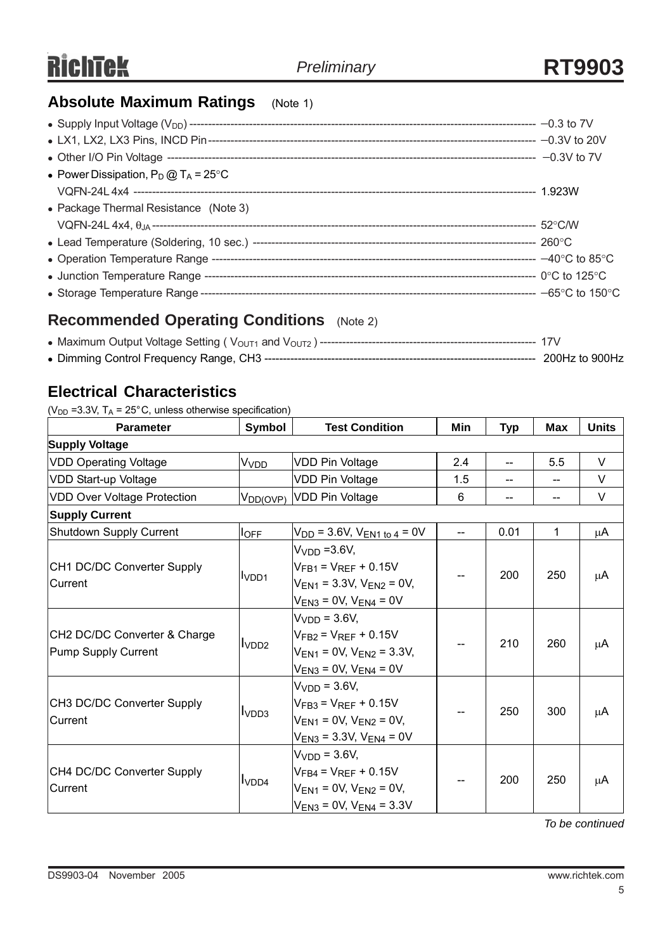## **Absolute Maximum Ratings** (Note 1)

| • Power Dissipation, $P_D @ T_A = 25^{\circ}C$ |  |
|------------------------------------------------|--|
|                                                |  |
| • Package Thermal Resistance (Note 3)          |  |
|                                                |  |
|                                                |  |
|                                                |  |
|                                                |  |
|                                                |  |

## **Recommended Operating Conditions** (Note 2)

## **Electrical Characteristics**

( $V_{DD}$  =3.3V, T<sub>A</sub> = 25°C, unless otherwise specification)

| <b>Parameter</b>                                    | Symbol                  | <b>Test Condition</b>                                                                                                   | Min | <b>Typ</b>     | Max | <b>Units</b> |
|-----------------------------------------------------|-------------------------|-------------------------------------------------------------------------------------------------------------------------|-----|----------------|-----|--------------|
| <b>Supply Voltage</b>                               |                         |                                                                                                                         |     |                |     |              |
| <b>VDD Operating Voltage</b>                        | <b>V</b> <sub>VDD</sub> | <b>VDD Pin Voltage</b>                                                                                                  | 2.4 | $\overline{a}$ | 5.5 | $\vee$       |
| VDD Start-up Voltage                                |                         | <b>VDD Pin Voltage</b>                                                                                                  | 1.5 |                |     | $\vee$       |
| <b>VDD Over Voltage Protection</b>                  | $V_{DD(OVP)}$           | VDD Pin Voltage                                                                                                         | 6   |                |     | V            |
| <b>Supply Current</b>                               |                         |                                                                                                                         |     |                |     |              |
| Shutdown Supply Current                             | $I_{\text{OFF}}$        | $V_{DD}$ = 3.6V, $V_{EN1}$ to 4 = 0V                                                                                    |     | 0.01           | 1   | μA           |
| CH1 DC/DC Converter Supply<br>Current               | I <sub>VDD1</sub>       | $VVDD = 3.6V$<br>$V_{FB1} = V_{REF} + 0.15V$<br>$V_{EN1}$ = 3.3V, $V_{EN2}$ = 0V,<br>$V_{EN3}$ = 0V, $V_{EN4}$ = 0V     |     | 200            | 250 | μA           |
| CH2 DC/DC Converter & Charge<br>Pump Supply Current | I <sub>VDD2</sub>       | $VVDD = 3.6V,$<br>$V_{FB2} = V_{RFF} + 0.15V$<br>$V_{EN1} = 0V$ , $V_{EN2} = 3.3V$ ,<br>$V_{EN3} = 0V$ , $V_{EN4} = 0V$ |     | 210            | 260 | μA           |
| CH3 DC/DC Converter Supply<br>Current               | I <sub>VDD3</sub>       | $VVDD = 3.6V$ ,<br>$V_{FB3} = V_{REF} + 0.15V$<br>$V_{EN1} = 0V$ , $V_{EN2} = 0V$ ,<br>$V_{EN3}$ = 3.3V, $V_{EN4}$ = 0V |     | 250            | 300 | μA           |
| CH4 DC/DC Converter Supply<br>Current               | I <sub>VDD4</sub>       | $VVDD = 3.6V,$<br>$V_{FB4} = V_{REF} + 0.15V$<br>$V_{EN1} = 0V$ , $V_{EN2} = 0V$ ,<br>$V_{EN3} = 0V$ , $V_{EN4} = 3.3V$ |     | 200            | 250 | μA           |

*To be continued*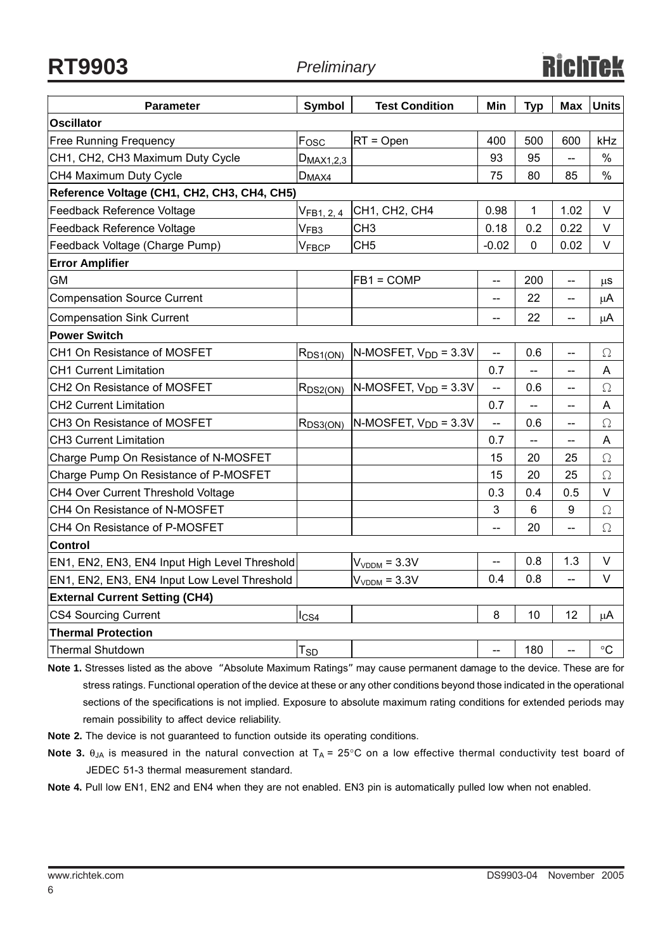**RT9903** *Preliminary*

| <b>Parameter</b>                              | Symbol                            | <b>Test Condition</b>                   | Min                       | <b>Typ</b>                | Max                      | <b>Units</b> |  |
|-----------------------------------------------|-----------------------------------|-----------------------------------------|---------------------------|---------------------------|--------------------------|--------------|--|
| <b>Oscillator</b>                             |                                   |                                         |                           |                           |                          |              |  |
| <b>Free Running Frequency</b>                 | Fosc                              | $RT = Open$                             | 400                       | 500                       | 600                      | kHz          |  |
| CH1, CH2, CH3 Maximum Duty Cycle              | $D_{MAX1,2,3}$                    |                                         | 93                        | 95                        |                          | $\%$         |  |
| CH4 Maximum Duty Cycle                        | $D_{MAX4}$                        |                                         | 75                        | 80                        | 85                       | $\%$         |  |
| Reference Voltage (CH1, CH2, CH3, CH4, CH5)   |                                   |                                         |                           |                           |                          |              |  |
| Feedback Reference Voltage                    | V <sub>FB<sub>1</sub>, 2, 4</sub> | CH1, CH2, CH4                           | 0.98                      | 1                         | 1.02                     | V            |  |
| Feedback Reference Voltage                    | V <sub>FB3</sub>                  | CH <sub>3</sub>                         | 0.18                      | 0.2                       | 0.22                     | $\vee$       |  |
| Feedback Voltage (Charge Pump)                | VFBCP                             | CH <sub>5</sub>                         | $-0.02$                   | $\mathbf{0}$              | 0.02                     | V            |  |
| <b>Error Amplifier</b>                        |                                   |                                         |                           |                           |                          |              |  |
| <b>GM</b>                                     |                                   | $FB1 = COMP$                            | --                        | 200                       | --                       | μS           |  |
| <b>Compensation Source Current</b>            |                                   |                                         | --                        | 22                        | --                       | μA           |  |
| <b>Compensation Sink Current</b>              |                                   |                                         | $\overline{\phantom{a}}$  | 22                        | $\overline{\phantom{a}}$ | μA           |  |
| <b>Power Switch</b>                           |                                   |                                         |                           |                           |                          |              |  |
| CH1 On Resistance of MOSFET                   | $R_{DS1(ON)}$                     | $N$ -MOSFET, $V_{DD}$ = 3.3V            | $\overline{\phantom{a}}$  | 0.6                       | $\overline{\phantom{m}}$ | $\Omega$     |  |
| <b>CH1 Current Limitation</b>                 |                                   |                                         | 0.7                       |                           |                          | A            |  |
| CH2 On Resistance of MOSFET                   |                                   | $R_{DS2(ON)}$ N-MOSFET, $V_{DD} = 3.3V$ | $-$                       | 0.6                       |                          | $\Omega$     |  |
| <b>CH2 Current Limitation</b>                 |                                   |                                         | 0.7                       | $\mathbb{L}^{\mathbb{L}}$ | $\overline{\phantom{a}}$ | A            |  |
| CH3 On Resistance of MOSFET                   | $R_{DS3(ON)}$                     | $N-MOSFET, VDD = 3.3V$                  | <u></u>                   | 0.6                       | --                       | $\Omega$     |  |
| <b>CH3 Current Limitation</b>                 |                                   |                                         | 0.7                       | --                        |                          | A            |  |
| Charge Pump On Resistance of N-MOSFET         |                                   |                                         | 15                        | 20                        | 25                       | $\Omega$     |  |
| Charge Pump On Resistance of P-MOSFET         |                                   |                                         | 15                        | 20                        | 25                       | $\Omega$     |  |
| CH4 Over Current Threshold Voltage            |                                   |                                         | 0.3                       | 0.4                       | 0.5                      | $\vee$       |  |
| CH4 On Resistance of N-MOSFET                 |                                   |                                         | $\ensuremath{\mathsf{3}}$ | $6\phantom{1}$            | 9                        | $\Omega$     |  |
| CH4 On Resistance of P-MOSFET                 |                                   |                                         | $\overline{a}$            | 20                        | --                       | $\Omega$     |  |
| <b>Control</b>                                |                                   |                                         |                           |                           |                          |              |  |
| EN1, EN2, EN3, EN4 Input High Level Threshold |                                   | $VVDDM = 3.3V$                          | $\overline{a}$            | 0.8                       | 1.3                      | V            |  |
| EN1, EN2, EN3, EN4 Input Low Level Threshold  |                                   | $VVDDM = 3.3V$                          | 0.4                       | 0.8                       | $\overline{\phantom{a}}$ | V            |  |
| <b>External Current Setting (CH4)</b>         |                                   |                                         |                           |                           |                          |              |  |
| <b>CS4 Sourcing Current</b>                   | lcs4                              |                                         | 8                         | 10                        | 12                       | μA           |  |
| <b>Thermal Protection</b>                     |                                   |                                         |                           |                           |                          |              |  |
| <b>Thermal Shutdown</b>                       | $T_{SD}$                          |                                         | $\overline{\phantom{a}}$  | 180                       | $\overline{a}$           | $\circ$ C    |  |

**Note 1.** Stresses listed as the above "Absolute Maximum Ratings" may cause permanent damage to the device. These are for stress ratings. Functional operation of the device at these or any other conditions beyond those indicated in the operational sections of the specifications is not implied. Exposure to absolute maximum rating conditions for extended periods may remain possibility to affect device reliability.

**Note 2.** The device is not guaranteed to function outside its operating conditions.

**Note 3.**  $\theta_{JA}$  is measured in the natural convection at  $T_A = 25^\circ \text{C}$  on a low effective thermal conductivity test board of JEDEC 51-3 thermal measurement standard.

**Note 4.** Pull low EN1, EN2 and EN4 when they are not enabled. EN3 pin is automatically pulled low when not enabled.

6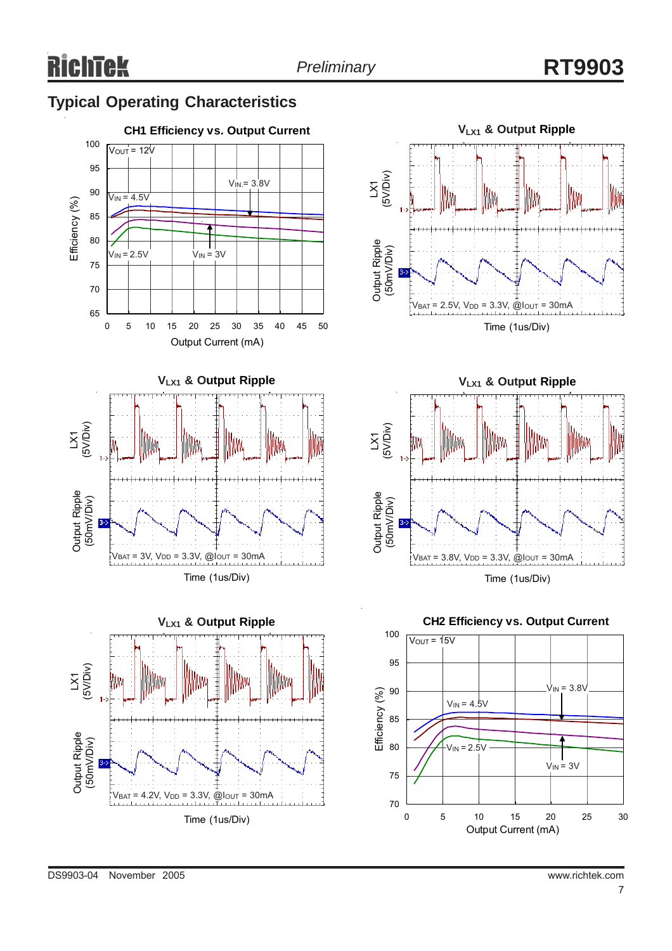## **Typical Operating Characteristics**







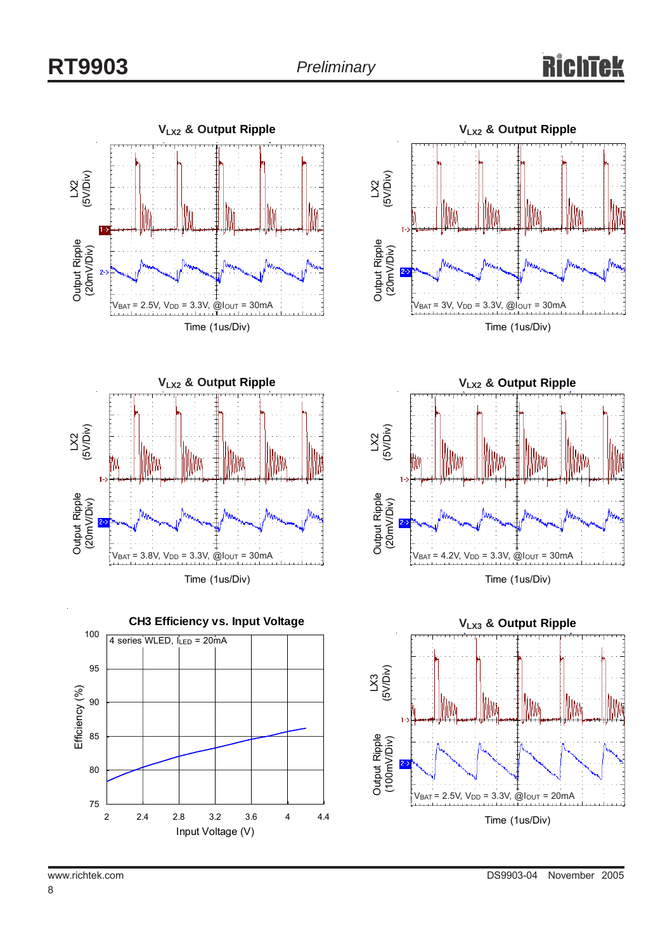# Rich





Time (1us/Div)









8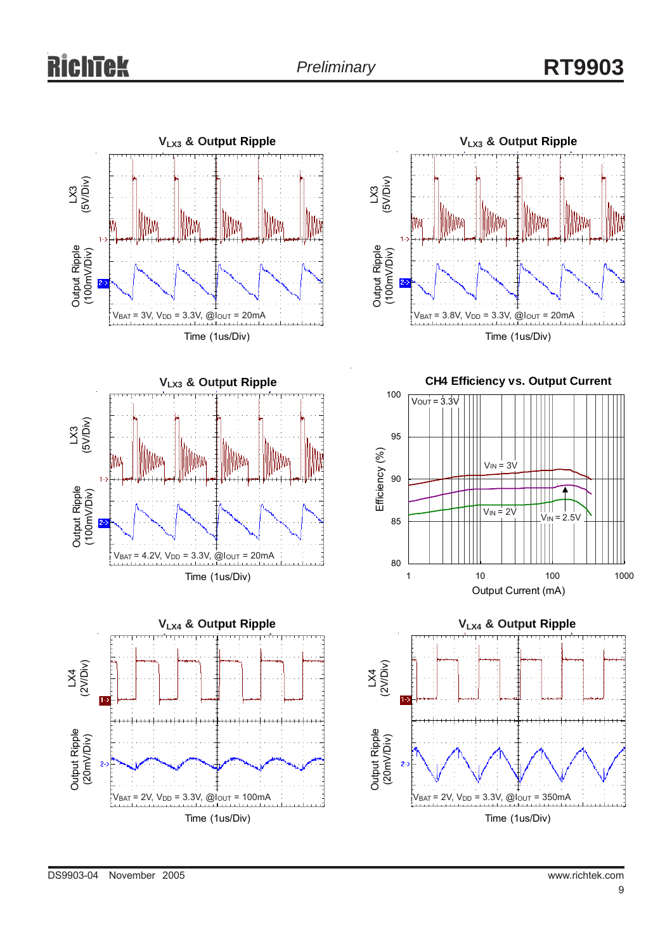







**CH4 Efficiency vs. Output Current**



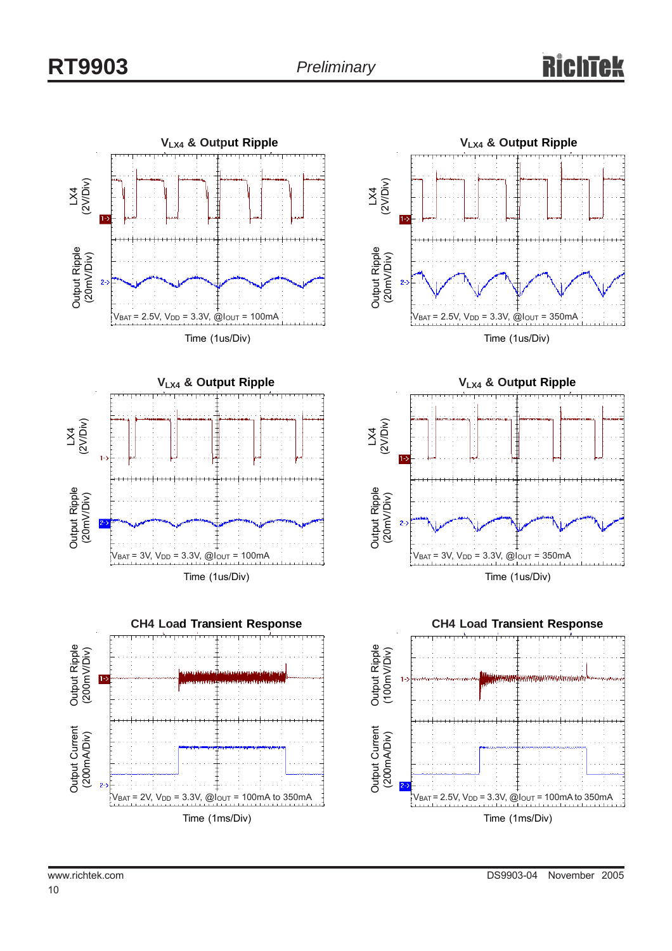

Time (1ms/Div)





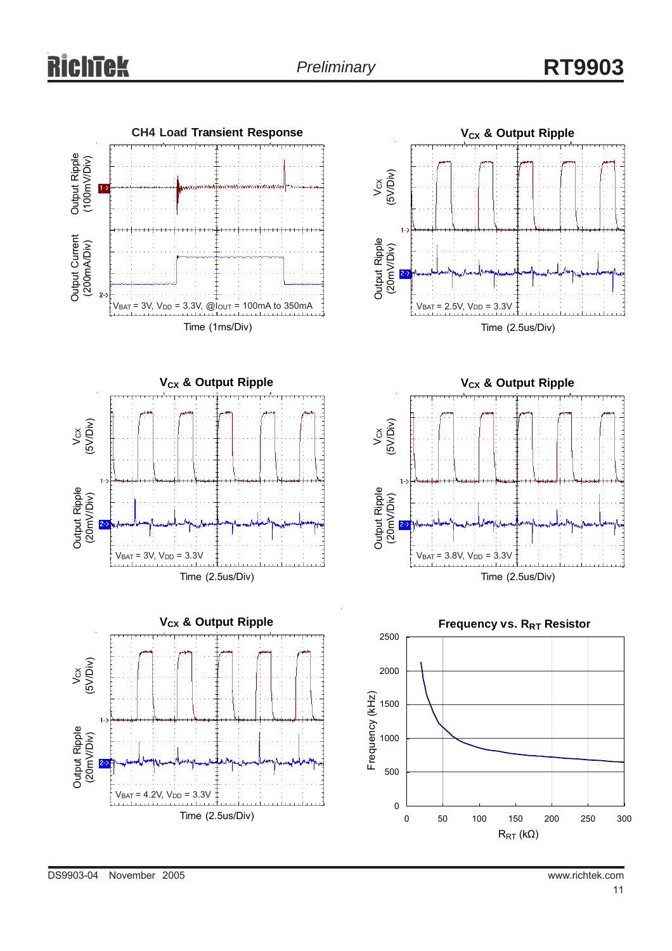









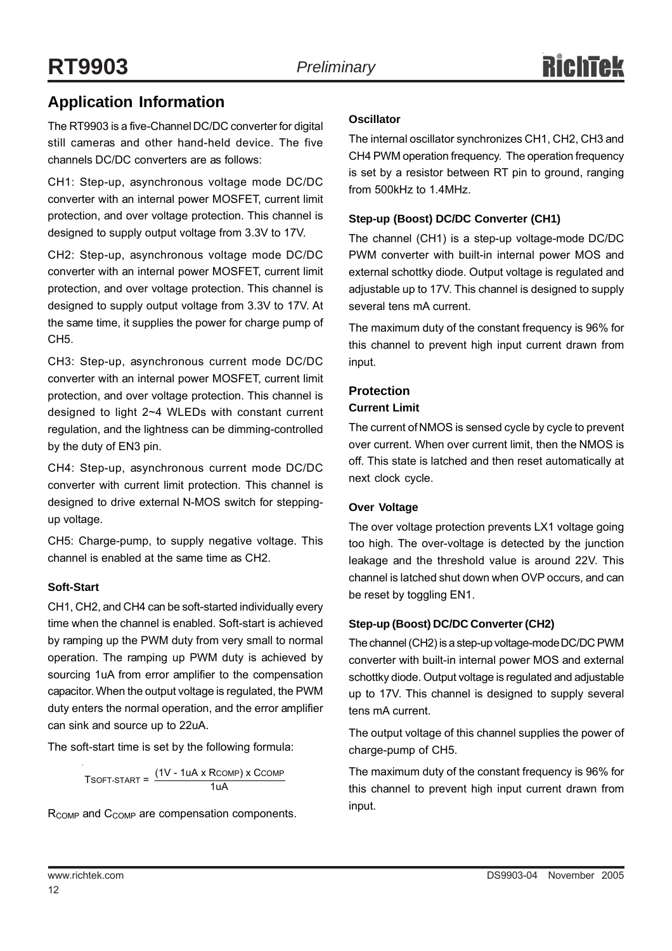## **Application Information**

The RT9903 is a five-Channel DC/DC converter for digital still cameras and other hand-held device. The five channels DC/DC converters are as follows:

CH1: Step-up, asynchronous voltage mode DC/DC converter with an internal power MOSFET, current limit protection, and over voltage protection. This channel is designed to supply output voltage from 3.3V to 17V.

CH2: Step-up, asynchronous voltage mode DC/DC converter with an internal power MOSFET, current limit protection, and over voltage protection. This channel is designed to supply output voltage from 3.3V to 17V. At the same time, it supplies the power for charge pump of CH5.

CH3: Step-up, asynchronous current mode DC/DC converter with an internal power MOSFET, current limit protection, and over voltage protection. This channel is designed to light 2~4 WLEDs with constant current regulation, and the lightness can be dimming-controlled by the duty of EN3 pin.

CH4: Step-up, asynchronous current mode DC/DC converter with current limit protection. This channel is designed to drive external N-MOS switch for steppingup voltage.

CH5: Charge-pump, to supply negative voltage. This channel is enabled at the same time as CH2.

#### **Soft-Start**

CH1, CH2, and CH4 can be soft-started individually every time when the channel is enabled. Soft-start is achieved by ramping up the PWM duty from very small to normal operation. The ramping up PWM duty is achieved by sourcing 1uA from error amplifier to the compensation capacitor. When the output voltage is regulated, the PWM duty enters the normal operation, and the error amplifier can sink and source up to 22uA.

The soft-start time is set by the following formula:

 $T$ SOFT-START =  $\frac{(1 V - 1 uA \times R$ COMP $)}{1 uA}$ 

R<sub>COMP</sub> and C<sub>COMP</sub> are compensation components.

#### **Oscillator**

The internal oscillator synchronizes CH1, CH2, CH3 and CH4 PWM operation frequency. The operation frequency is set by a resistor between RT pin to ground, ranging from 500kHz to 1.4MHz.

#### **Step-up (Boost) DC/DC Converter (CH1)**

The channel (CH1) is a step-up voltage-mode DC/DC PWM converter with built-in internal power MOS and external schottky diode. Output voltage is regulated and adjustable up to 17V. This channel is designed to supply several tens mA current.

The maximum duty of the constant frequency is 96% for this channel to prevent high input current drawn from input.

#### **Protection**

#### **Current Limit**

The current of NMOS is sensed cycle by cycle to prevent over current. When over current limit, then the NMOS is off. This state is latched and then reset automatically at next clock cycle.

#### **Over Voltage**

The over voltage protection prevents LX1 voltage going too high. The over-voltage is detected by the junction leakage and the threshold value is around 22V. This channel is latched shut down when OVP occurs, and can be reset by toggling EN1.

#### **Step-up (Boost) DC/DC Converter (CH2)**

The channel (CH2) is a step-up voltage-mode DC/DC PWM converter with built-in internal power MOS and external schottky diode. Output voltage is regulated and adjustable up to 17V. This channel is designed to supply several tens mA current.

The output voltage of this channel supplies the power of charge-pump of CH5.

The maximum duty of the constant frequency is 96% for this channel to prevent high input current drawn from input.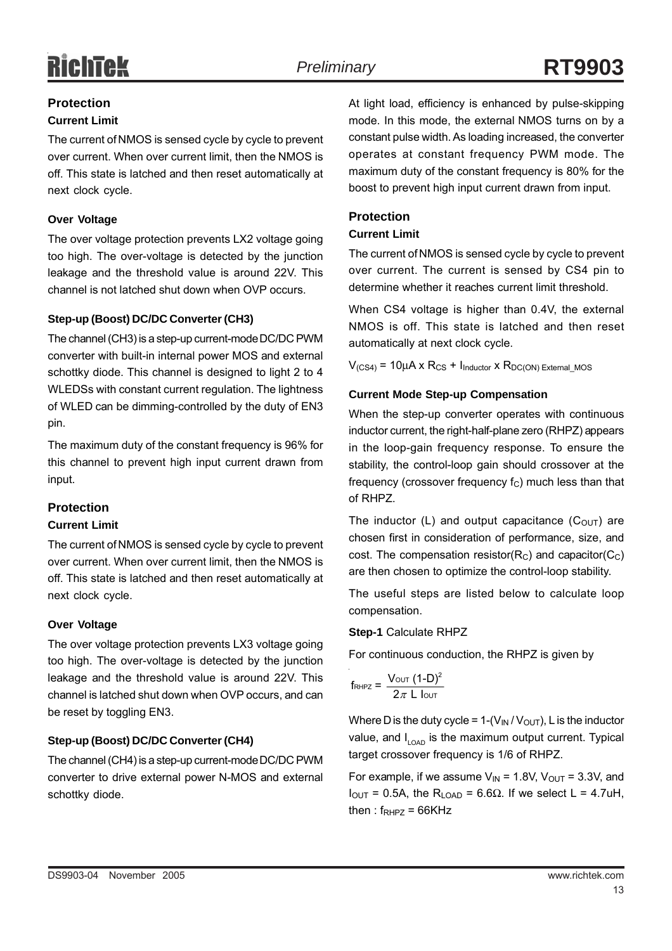## **Protection**

#### **Current Limit**

The current of NMOS is sensed cycle by cycle to prevent over current. When over current limit, then the NMOS is off. This state is latched and then reset automatically at next clock cycle.

#### **Over Voltage**

The over voltage protection prevents LX2 voltage going too high. The over-voltage is detected by the junction leakage and the threshold value is around 22V. This channel is not latched shut down when OVP occurs.

#### **Step-up (Boost) DC/DC Converter (CH3)**

The channel (CH3) is a step-up current-mode DC/DC PWM converter with built-in internal power MOS and external schottky diode. This channel is designed to light 2 to 4 WLEDSs with constant current regulation. The lightness of WLED can be dimming-controlled by the duty of EN3 pin.

The maximum duty of the constant frequency is 96% for this channel to prevent high input current drawn from input.

#### **Protection**

#### **Current Limit**

The current of NMOS is sensed cycle by cycle to prevent over current. When over current limit, then the NMOS is off. This state is latched and then reset automatically at next clock cycle.

#### **Over Voltage**

The over voltage protection prevents LX3 voltage going too high. The over-voltage is detected by the junction leakage and the threshold value is around 22V. This channel is latched shut down when OVP occurs, and can be reset by toggling EN3.

#### **Step-up (Boost) DC/DC Converter (CH4)**

The channel (CH4) is a step-up current-mode DC/DC PWM converter to drive external power N-MOS and external schottky diode.

At light load, efficiency is enhanced by pulse-skipping mode. In this mode, the external NMOS turns on by a constant pulse width. As loading increased, the converter operates at constant frequency PWM mode. The maximum duty of the constant frequency is 80% for the boost to prevent high input current drawn from input.

#### **Protection**

#### **Current Limit**

The current of NMOS is sensed cycle by cycle to prevent over current. The current is sensed by CS4 pin to determine whether it reaches current limit threshold.

When CS4 voltage is higher than 0.4V, the external NMOS is off. This state is latched and then reset automatically at next clock cycle.

 $V_{(CS4)} = 10\mu A \times R_{CS} + I_{Inductor} \times R_{DC(ON) External MOS}$ 

#### **Current Mode Step-up Compensation**

When the step-up converter operates with continuous inductor current, the right-half-plane zero (RHPZ) appears in the loop-gain frequency response. To ensure the stability, the control-loop gain should crossover at the frequency (crossover frequency  $f_C$ ) much less than that of RHPZ.

The inductor (L) and output capacitance  $(C_{\text{OUT}})$  are chosen first in consideration of performance, size, and cost. The compensation resistor( $R<sub>C</sub>$ ) and capacitor( $C<sub>C</sub>$ ) are then chosen to optimize the control-loop stability.

The useful steps are listed below to calculate loop compensation.

#### **Step-1** Calculate RHPZ

For continuous conduction, the RHPZ is given by

$$
f_{\text{RHPZ}} = \frac{V_{\text{OUT}} (1-D)^2}{2\pi L \text{ low}}
$$

Where D is the duty cycle =  $1-(V_{IN}/V_{OUT})$ , L is the inductor value, and  $I_{\text{LOAD}}$  is the maximum output current. Typical target crossover frequency is 1/6 of RHPZ.

For example, if we assume  $V_{IN}$  = 1.8V,  $V_{OUT}$  = 3.3V, and  $I_{OUT}$  = 0.5A, the R<sub>LOAD</sub> = 6.6Ω. If we select L = 4.7uH, then :  $f_{RHPZ} = 66KHZ$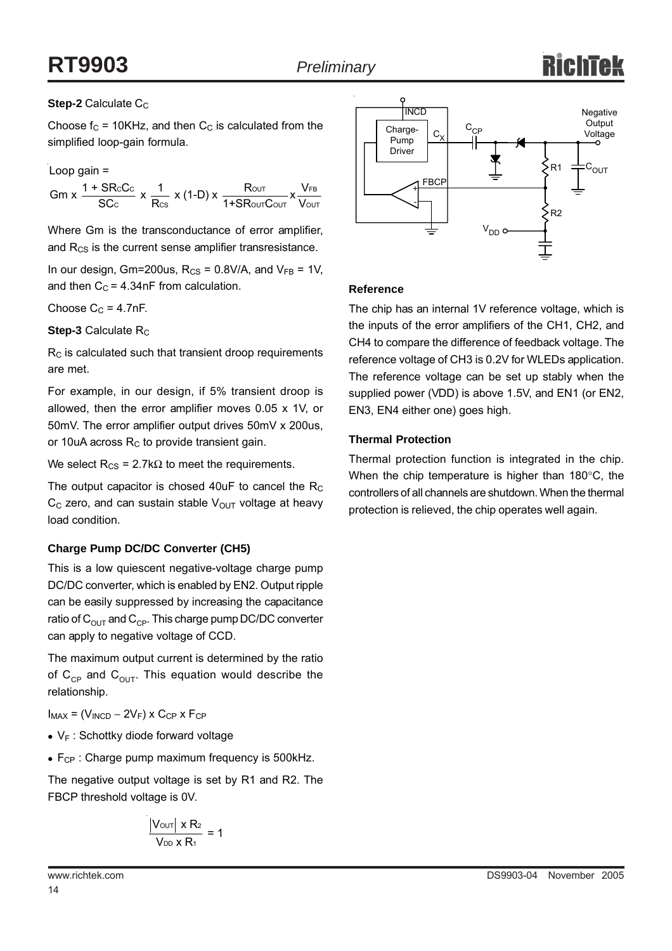# **RT9903** *Preliminary*

#### **Step-2** Calculate C<sub>C</sub>

Choose  $f_C$  = 10KHz, and then  $C_C$  is calculated from the simplified loop-gain formula.

CUC I  $\mu$  on  $\mu$  of  $\mu$  of  $\mu$  $\textsf{Gm}\xspace \texttt{x} \, \frac{\texttt{1} + \textsf{SRCc}}{\textsf{SCc}}\xspace \texttt{x} \, \frac{\texttt{1}}{\textsf{Rcs}}\xspace \texttt{x} \, (\texttt{1-D})\xspace \texttt{x} \, \frac{\textsf{Rour}}{\texttt{1} + \textsf{SRowT} \textsf{Cour}}\xspace \frac{\textsf{V}_{\textsf{FB}}}{\textsf{Vour}}$ Loop gain =

Where Gm is the transconductance of error amplifier, and  $R_{CS}$  is the current sense amplifier transresistance.

In our design, Gm=200us,  $R_{CS} = 0.8V/A$ , and  $V_{FB} = 1V$ , and then  $C_C = 4.34$ nF from calculation.

Choose  $C_C = 4.7nF$ .

**Step-3** Calculate R<sub>C</sub>

 $R<sub>C</sub>$  is calculated such that transient droop requirements are met.

For example, in our design, if 5% transient droop is allowed, then the error amplifier moves 0.05 x 1V, or 50mV. The error amplifier output drives 50mV x 200us, or 10uA across  $R<sub>C</sub>$  to provide transient gain.

We select  $R_{CS}$  = 2.7k $\Omega$  to meet the requirements.

The output capacitor is chosed  $40uF$  to cancel the  $R_C$  $C<sub>C</sub>$  zero, and can sustain stable  $V<sub>OUT</sub>$  voltage at heavy load condition.

#### **Charge Pump DC/DC Converter (CH5)**

This is a low quiescent negative-voltage charge pump DC/DC converter, which is enabled by EN2. Output ripple can be easily suppressed by increasing the capacitance ratio of  $C_{\text{OUT}}$  and  $C_{\text{CP}}$ . This charge pump DC/DC converter can apply to negative voltage of CCD.

The maximum output current is determined by the ratio of  $C_{CP}$  and  $C_{OUT}$ . This equation would describe the relationship.

 $I_{MAX} = (V_{INCD} - 2V_F) \times C_{CP} \times F_{CP}$ 

- $V_F$ : Schottky diode forward voltage
- $\bullet$  F<sub>CP</sub> : Charge pump maximum frequency is 500kHz.

The negative output voltage is set by R1 and R2. The FBCP threshold voltage is 0V.

$$
\frac{\left|V_{\text{OUT}}\right| \times R_2}{V_{\text{DD}} \times R_1} = 1
$$

14



#### **Reference**

The chip has an internal 1V reference voltage, which is the inputs of the error amplifiers of the CH1, CH2, and CH4 to compare the difference of feedback voltage. The reference voltage of CH3 is 0.2V for WLEDs application. The reference voltage can be set up stably when the supplied power (VDD) is above 1.5V, and EN1 (or EN2, EN3, EN4 either one) goes high.

#### **Thermal Protection**

Thermal protection function is integrated in the chip. When the chip temperature is higher than 180°C, the controllers of all channels are shutdown. When the thermal protection is relieved, the chip operates well again.